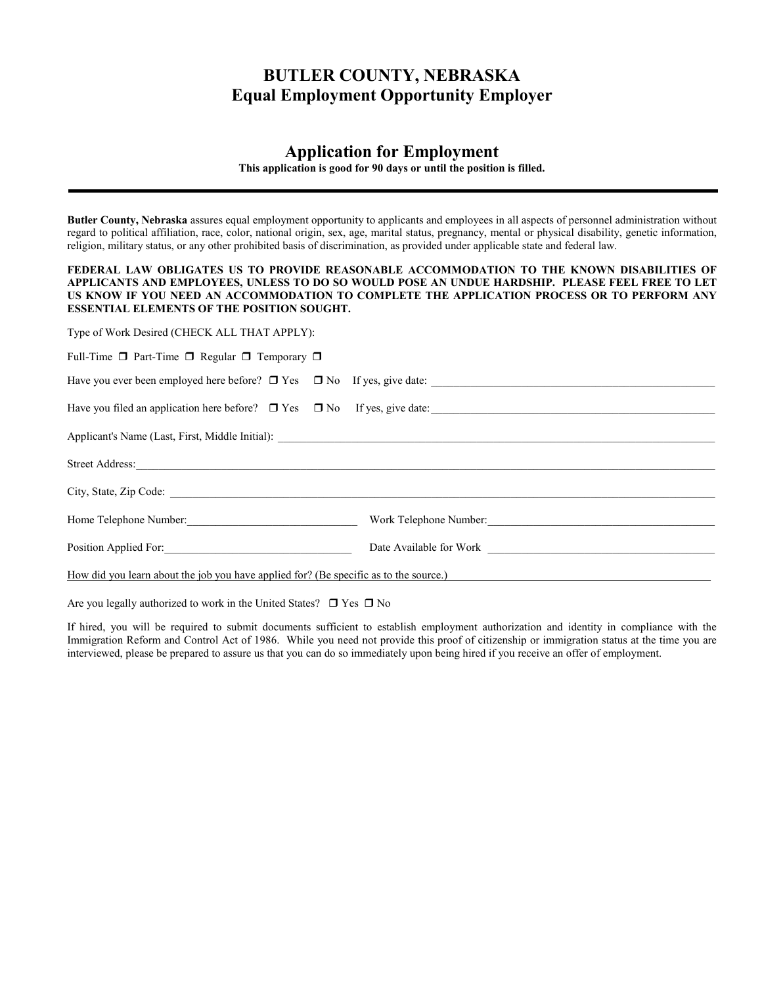## **BUTLER COUNTY, NEBRASKA Equal Employment Opportunity Employer**

### **Application for Employment**

**This application is good for 90 days or until the position is filled.**

**Butler County, Nebraska** assures equal employment opportunity to applicants and employees in all aspects of personnel administration without regard to political affiliation, race, color, national origin, sex, age, marital status, pregnancy, mental or physical disability, genetic information, religion, military status, or any other prohibited basis of discrimination, as provided under applicable state and federal law.

**FEDERAL LAW OBLIGATES US TO PROVIDE REASONABLE ACCOMMODATION TO THE KNOWN DISABILITIES OF APPLICANTS AND EMPLOYEES, UNLESS TO DO SO WOULD POSE AN UNDUE HARDSHIP. PLEASE FEEL FREE TO LET US KNOW IF YOU NEED AN ACCOMMODATION TO COMPLETE THE APPLICATION PROCESS OR TO PERFORM ANY ESSENTIAL ELEMENTS OF THE POSITION SOUGHT.**

Type of Work Desired (CHECK ALL THAT APPLY):

| Full-Time $\Box$ Part-Time $\Box$ Regular $\Box$ Temporary $\Box$                     |                                                                                    |  |  |  |
|---------------------------------------------------------------------------------------|------------------------------------------------------------------------------------|--|--|--|
|                                                                                       |                                                                                    |  |  |  |
|                                                                                       | Have you filed an application here before? $\Box$ Yes $\Box$ No If yes, give date: |  |  |  |
|                                                                                       |                                                                                    |  |  |  |
|                                                                                       |                                                                                    |  |  |  |
|                                                                                       |                                                                                    |  |  |  |
| Home Telephone Number:<br><u> </u>                                                    |                                                                                    |  |  |  |
| Position Applied For: 1997                                                            |                                                                                    |  |  |  |
| How did you learn about the job you have applied for? (Be specific as to the source.) |                                                                                    |  |  |  |

Are you legally authorized to work in the United States?  $\Box$  Yes  $\Box$  No

If hired, you will be required to submit documents sufficient to establish employment authorization and identity in compliance with the Immigration Reform and Control Act of 1986. While you need not provide this proof of citizenship or immigration status at the time you are interviewed, please be prepared to assure us that you can do so immediately upon being hired if you receive an offer of employment.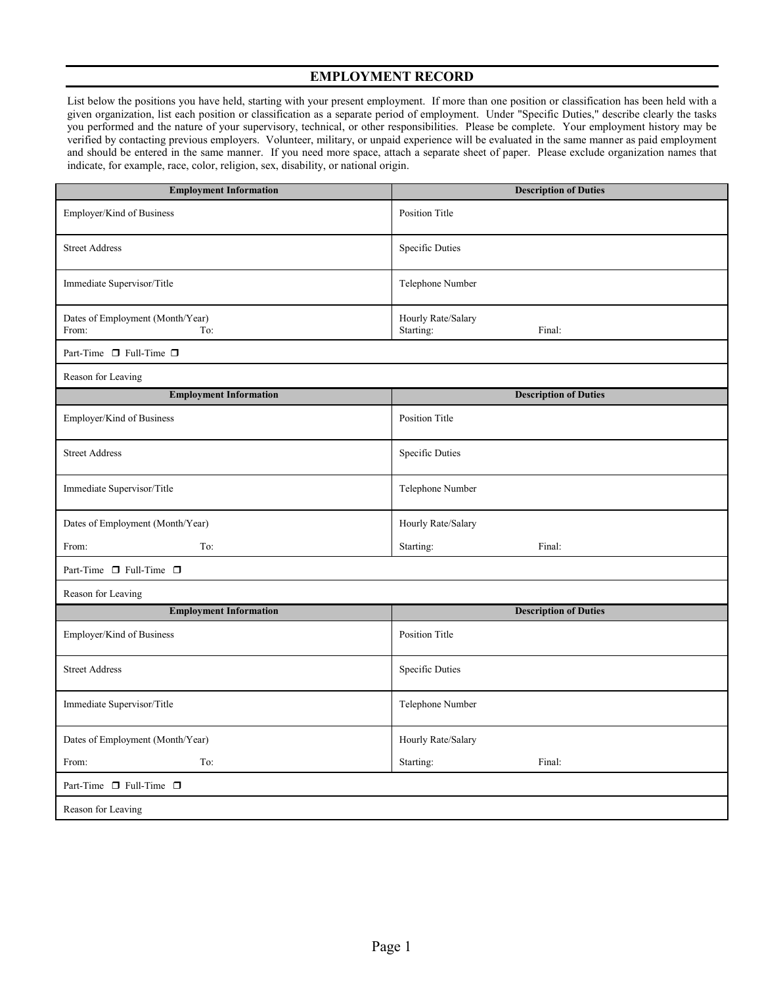#### **EMPLOYMENT RECORD**

List below the positions you have held, starting with your present employment. If more than one position or classification has been held with a given organization, list each position or classification as a separate period of employment. Under "Specific Duties," describe clearly the tasks you performed and the nature of your supervisory, technical, or other responsibilities. Please be complete. Your employment history may be verified by contacting previous employers. Volunteer, military, or unpaid experience will be evaluated in the same manner as paid employment and should be entered in the same manner. If you need more space, attach a separate sheet of paper. Please exclude organization names that indicate, for example, race, color, religion, sex, disability, or national origin.

| <b>Employment Information</b>                    | <b>Description of Duties</b>              |  |  |
|--------------------------------------------------|-------------------------------------------|--|--|
| Employer/Kind of Business                        | Position Title                            |  |  |
| <b>Street Address</b>                            | <b>Specific Duties</b>                    |  |  |
| Immediate Supervisor/Title                       | Telephone Number                          |  |  |
| Dates of Employment (Month/Year)<br>To:<br>From: | Hourly Rate/Salary<br>Starting:<br>Final: |  |  |
| Part-Time □ Full-Time □                          |                                           |  |  |
| Reason for Leaving                               |                                           |  |  |
| <b>Employment Information</b>                    | <b>Description of Duties</b>              |  |  |
| Employer/Kind of Business                        | <b>Position Title</b>                     |  |  |
| <b>Street Address</b>                            | <b>Specific Duties</b>                    |  |  |
| Immediate Supervisor/Title                       | Telephone Number                          |  |  |
| Dates of Employment (Month/Year)                 | Hourly Rate/Salary                        |  |  |
| To:<br>From:                                     | Starting:<br>Final:                       |  |  |
| Part-Time $\Box$ Full-Time $\Box$                |                                           |  |  |
| Reason for Leaving                               |                                           |  |  |
| <b>Employment Information</b>                    | <b>Description of Duties</b>              |  |  |
| Employer/Kind of Business                        | <b>Position Title</b>                     |  |  |
| <b>Street Address</b>                            | Specific Duties                           |  |  |
| Immediate Supervisor/Title                       | Telephone Number                          |  |  |
| Dates of Employment (Month/Year)                 | Hourly Rate/Salary                        |  |  |
| To:<br>From:                                     | Final:<br>Starting:                       |  |  |
| Part-Time □ Full-Time □                          |                                           |  |  |
| Reason for Leaving                               |                                           |  |  |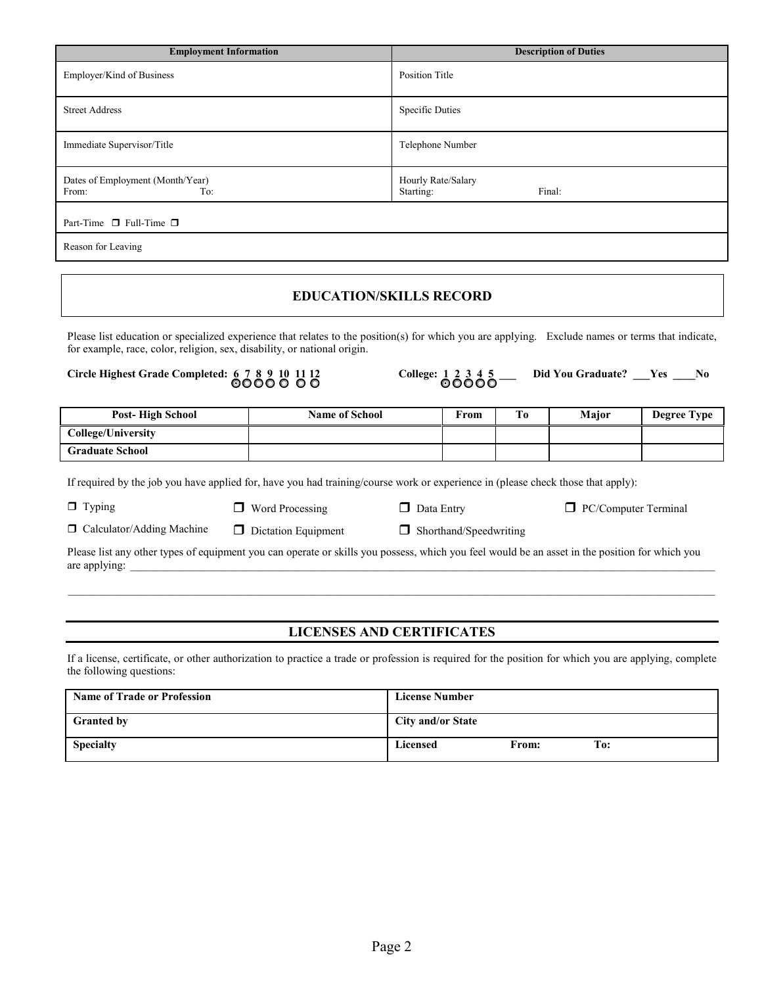| <b>Employment Information</b>                    | <b>Description of Duties</b>              |
|--------------------------------------------------|-------------------------------------------|
| Employer/Kind of Business                        | <b>Position Title</b>                     |
| <b>Street Address</b>                            | <b>Specific Duties</b>                    |
| Immediate Supervisor/Title                       | Telephone Number                          |
| Dates of Employment (Month/Year)<br>From:<br>To: | Hourly Rate/Salary<br>Final:<br>Starting: |
| Part-Time $\Box$ Full-Time $\Box$                |                                           |
| Reason for Leaving                               |                                           |

#### **EDUCATION/SKILLS RECORD**

Please list education or specialized experience that relates to the position(s) for which you are applying. Exclude names or terms that indicate, for example, race, color, religion, sex, disability, or national origin.

# **Circle Highest Grade Completed: 6 7 8 9 10 11 12 College: 1 2 3 4 5 \_\_\_ Did You Graduate? \_\_\_Yes \_\_\_\_No**

| <b>Post-High School</b>   | <b>Name of School</b> | From | T0 | Major | Degree Type |
|---------------------------|-----------------------|------|----|-------|-------------|
| <b>College/University</b> |                       |      |    |       |             |
| <b>Graduate School</b>    |                       |      |    |       |             |

If required by the job you have applied for, have you had training/course work or experience in (please check those that apply):

 $\Box$  Typing  $\Box$  Word Processing  $\Box$  Data Entry  $\Box$  PC/Computer Terminal

 $\Box$  Calculator/Adding Machine  $\Box$  Dictation Equipment  $\Box$  Shorthand/Speedwriting

Please list any other types of equipment you can operate or skills you possess, which you feel would be an asset in the position for which you are applying:  $\Box$ 

#### **LICENSES AND CERTIFICATES**

 $\_$  , and the state of the state of the state of the state of the state of the state of the state of the state of the state of the state of the state of the state of the state of the state of the state of the state of the

If a license, certificate, or other authorization to practice a trade or profession is required for the position for which you are applying, complete the following questions:

| <b>Name of Trade or Profession</b> | <b>License Number</b>    |
|------------------------------------|--------------------------|
| <b>Granted by</b>                  | <b>City and/or State</b> |
| <b>Specialty</b>                   | To:<br>Licensed<br>From: |